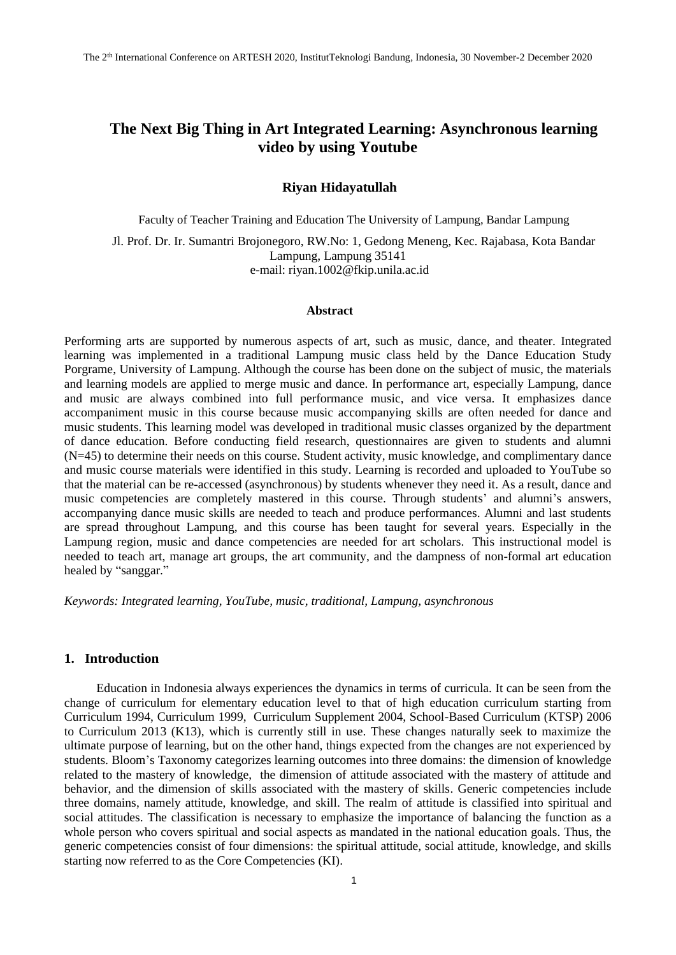# **The Next Big Thing in Art Integrated Learning: Asynchronous learning video by using Youtube**

### **Riyan Hidayatullah**

Faculty of Teacher Training and Education The University of Lampung, Bandar Lampung Jl. Prof. Dr. Ir. Sumantri Brojonegoro, RW.No: 1, Gedong Meneng, Kec. Rajabasa, Kota Bandar Lampung, Lampung 35141 e-mail: riyan.1002@fkip.unila.ac.id

### **Abstract**

Performing arts are supported by numerous aspects of art, such as music, dance, and theater. Integrated learning was implemented in a traditional Lampung music class held by the Dance Education Study Porgrame, University of Lampung. Although the course has been done on the subject of music, the materials and learning models are applied to merge music and dance. In performance art, especially Lampung, dance and music are always combined into full performance music, and vice versa. It emphasizes dance accompaniment music in this course because music accompanying skills are often needed for dance and music students. This learning model was developed in traditional music classes organized by the department of dance education. Before conducting field research, questionnaires are given to students and alumni (N=45) to determine their needs on this course. Student activity, music knowledge, and complimentary dance and music course materials were identified in this study. Learning is recorded and uploaded to YouTube so that the material can be re-accessed (asynchronous) by students whenever they need it. As a result, dance and music competencies are completely mastered in this course. Through students' and alumni's answers, accompanying dance music skills are needed to teach and produce performances. Alumni and last students are spread throughout Lampung, and this course has been taught for several years. Especially in the Lampung region, music and dance competencies are needed for art scholars. This instructional model is needed to teach art, manage art groups, the art community, and the dampness of non-formal art education healed by "sanggar."

*Keywords: Integrated learning, YouTube, music, traditional, Lampung, asynchronous*

### **1. Introduction**

Education in Indonesia always experiences the dynamics in terms of curricula. It can be seen from the change of curriculum for elementary education level to that of high education curriculum starting from Curriculum 1994, Curriculum 1999, Curriculum Supplement 2004, School-Based Curriculum (KTSP) 2006 to Curriculum 2013 (K13), which is currently still in use. These changes naturally seek to maximize the ultimate purpose of learning, but on the other hand, things expected from the changes are not experienced by students. Bloom's Taxonomy categorizes learning outcomes into three domains: the dimension of knowledge related to the mastery of knowledge, the dimension of attitude associated with the mastery of attitude and behavior, and the dimension of skills associated with the mastery of skills. Generic competencies include three domains, namely attitude, knowledge, and skill. The realm of attitude is classified into spiritual and social attitudes. The classification is necessary to emphasize the importance of balancing the function as a whole person who covers spiritual and social aspects as mandated in the national education goals. Thus, the generic competencies consist of four dimensions: the spiritual attitude, social attitude, knowledge, and skills starting now referred to as the Core Competencies (KI).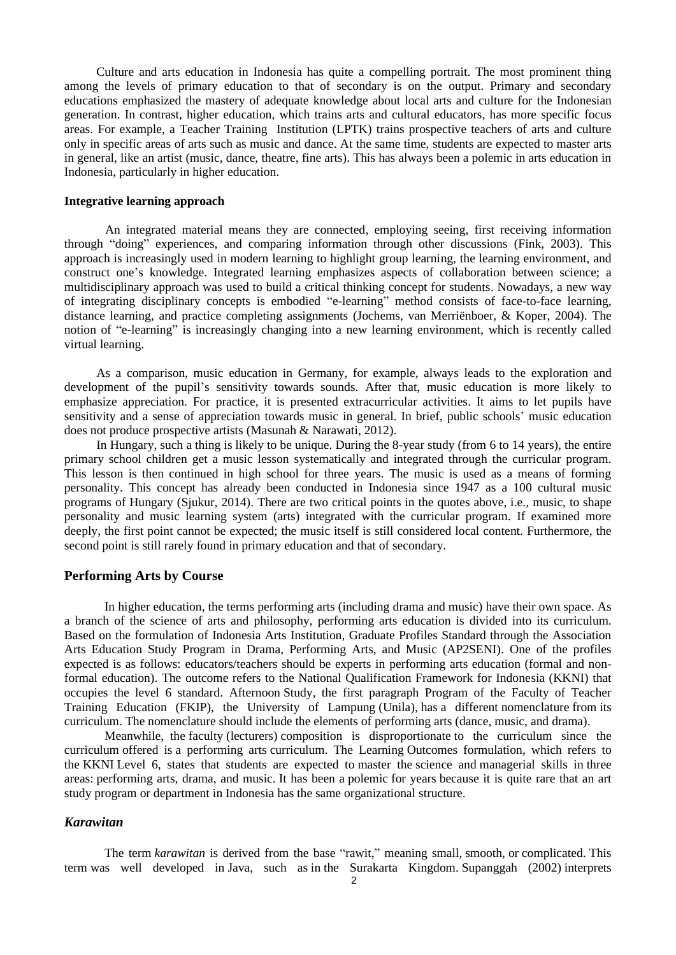Culture and arts education in Indonesia has quite a compelling portrait. The most prominent thing among the levels of primary education to that of secondary is on the output. Primary and secondary educations emphasized the mastery of adequate knowledge about local arts and culture for the Indonesian generation. In contrast, higher education, which trains arts and cultural educators, has more specific focus areas. For example, a Teacher Training Institution (LPTK) trains prospective teachers of arts and culture only in specific areas of arts such as music and dance. At the same time, students are expected to master arts in general, like an artist (music, dance, theatre, fine arts). This has always been a polemic in arts education in Indonesia, particularly in higher education.

### **Integrative learning approach**

An integrated material means they are connected, employing seeing, first receiving information through "doing" experiences, and comparing information through other discussions (Fink, 2003). This approach is increasingly used in modern learning to highlight group learning, the learning environment, and construct one's knowledge. Integrated learning emphasizes aspects of collaboration between science; a multidisciplinary approach was used to build a critical thinking concept for students. Nowadays, a new way of integrating disciplinary concepts is embodied "e-learning" method consists of face-to-face learning, distance learning, and practice completing assignments (Jochems, van Merriënboer, & Koper, 2004). The notion of "e-learning" is increasingly changing into a new learning environment, which is recently called virtual learning.

As a comparison, music education in Germany, for example, always leads to the exploration and development of the pupil's sensitivity towards sounds. After that, music education is more likely to emphasize appreciation. For practice, it is presented extracurricular activities. It aims to let pupils have sensitivity and a sense of appreciation towards music in general. In brief, public schools' music education does not produce prospective artists (Masunah & Narawati, 2012).

In Hungary, such a thing is likely to be unique. During the 8-year study (from 6 to 14 years), the entire primary school children get a music lesson systematically and integrated through the curricular program. This lesson is then continued in high school for three years. The music is used as a means of forming personality. This concept has already been conducted in Indonesia since 1947 as a 100 cultural music programs of Hungary (Sjukur, 2014). There are two critical points in the quotes above, i.e., music, to shape personality and music learning system (arts) integrated with the curricular program. If examined more deeply, the first point cannot be expected; the music itself is still considered local content. Furthermore, the second point is still rarely found in primary education and that of secondary.

## **Performing Arts by Course**

In higher education, the terms performing arts (including drama and music) have their own space. As a branch of the science of arts and philosophy, performing arts education is divided into its curriculum. Based on the formulation of Indonesia Arts Institution, Graduate Profiles Standard through the Association Arts Education Study Program in Drama, Performing Arts, and Music (AP2SENI). One of the profiles expected is as follows: educators/teachers should be experts in performing arts education (formal and nonformal education). The outcome refers to the National Qualification Framework for Indonesia (KKNI) that occupies the level 6 standard. Afternoon Study, the first paragraph Program of the Faculty of Teacher Training Education (FKIP), the University of Lampung (Unila), has a different nomenclature from its curriculum. The nomenclature should include the elements of performing arts (dance, music, and drama).

Meanwhile, the faculty (lecturers) composition is disproportionate to the curriculum since the curriculum offered is a performing arts curriculum. The Learning Outcomes formulation, which refers to the KKNI Level 6, states that students are expected to master the science and managerial skills in three areas: performing arts, drama, and music. It has been a polemic for years because it is quite rare that an art study program or department in Indonesia has the same organizational structure.

## *Karawitan*

The term *karawitan* is derived from the base "rawit," meaning small, smooth, or complicated. This term was well developed in Java, such as in the Surakarta Kingdom. Supanggah (2002) interprets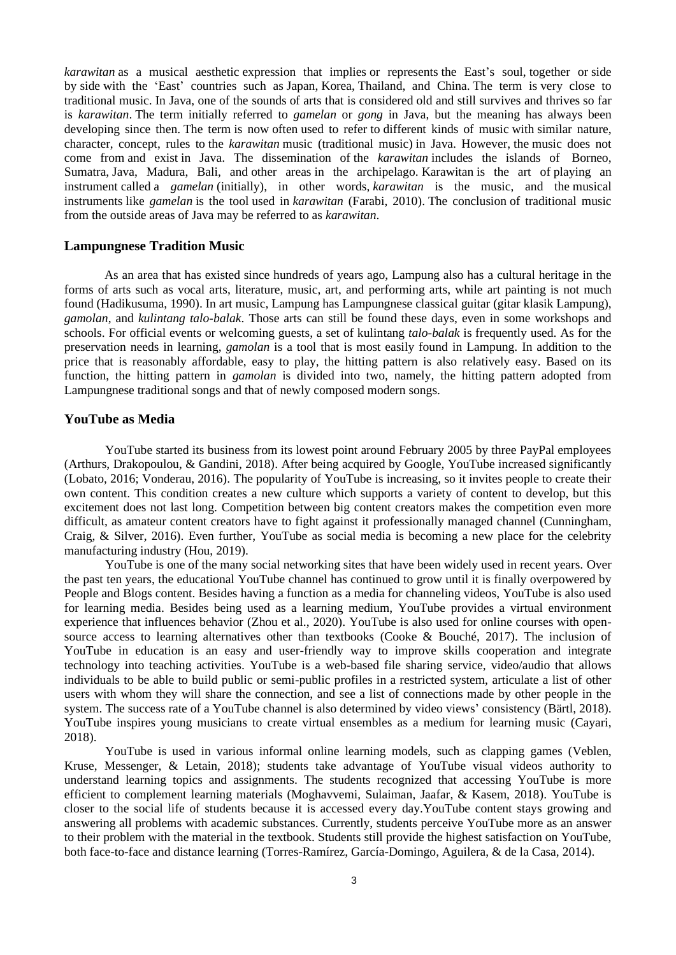*karawitan* as a musical aesthetic expression that implies or represents the East's soul, together or side by side with the 'East' countries such as Japan, Korea, Thailand, and China. The term is very close to traditional music. In Java, one of the sounds of arts that is considered old and still survives and thrives so far is *karawitan*. The term initially referred to *gamelan* or *gong* in Java, but the meaning has always been developing since then. The term is now often used to refer to different kinds of music with similar nature, character, concept, rules to the *karawitan* music (traditional music) in Java. However, the music does not come from and exist in Java. The dissemination of the *karawitan* includes the islands of Borneo, Sumatra, Java, Madura, Bali, and other areas in the archipelago. Karawitan is the art of playing an instrument called a *gamelan* (initially), in other words, *karawitan* is the music, and the musical instruments like *gamelan* is the tool used in *karawitan* (Farabi, 2010). The conclusion of traditional music from the outside areas of Java may be referred to as *karawitan*.

## **Lampungnese Tradition Music**

As an area that has existed since hundreds of years ago, Lampung also has a cultural heritage in the forms of arts such as vocal arts, literature, music, art, and performing arts, while art painting is not much found (Hadikusuma, 1990). In art music, Lampung has Lampungnese classical guitar (gitar klasik Lampung), *gamolan*, and *kulintang talo-balak*. Those arts can still be found these days, even in some workshops and schools. For official events or welcoming guests, a set of kulintang *talo-balak* is frequently used. As for the preservation needs in learning, *gamolan* is a tool that is most easily found in Lampung. In addition to the price that is reasonably affordable, easy to play, the hitting pattern is also relatively easy. Based on its function, the hitting pattern in *gamolan* is divided into two, namely, the hitting pattern adopted from Lampungnese traditional songs and that of newly composed modern songs.

### **YouTube as Media**

YouTube started its business from its lowest point around February 2005 by three PayPal employees (Arthurs, Drakopoulou, & Gandini, 2018). After being acquired by Google, YouTube increased significantly (Lobato, 2016; Vonderau, 2016). The popularity of YouTube is increasing, so it invites people to create their own content. This condition creates a new culture which supports a variety of content to develop, but this excitement does not last long. Competition between big content creators makes the competition even more difficult, as amateur content creators have to fight against it professionally managed channel (Cunningham, Craig, & Silver, 2016). Even further, YouTube as social media is becoming a new place for the celebrity manufacturing industry (Hou, 2019).

YouTube is one of the many social networking sites that have been widely used in recent years. Over the past ten years, the educational YouTube channel has continued to grow until it is finally overpowered by People and Blogs content. Besides having a function as a media for channeling videos, YouTube is also used for learning media. Besides being used as a learning medium, YouTube provides a virtual environment experience that influences behavior (Zhou et al., 2020). YouTube is also used for online courses with opensource access to learning alternatives other than textbooks (Cooke & Bouché, 2017). The inclusion of YouTube in education is an easy and user-friendly way to improve skills cooperation and integrate technology into teaching activities. YouTube is a web-based file sharing service, video/audio that allows individuals to be able to build public or semi-public profiles in a restricted system, articulate a list of other users with whom they will share the connection, and see a list of connections made by other people in the system. The success rate of a YouTube channel is also determined by video views' consistency (Bärtl, 2018). YouTube inspires young musicians to create virtual ensembles as a medium for learning music (Cayari, 2018).

YouTube is used in various informal online learning models, such as clapping games (Veblen, Kruse, Messenger, & Letain, 2018); students take advantage of YouTube visual videos authority to understand learning topics and assignments. The students recognized that accessing YouTube is more efficient to complement learning materials (Moghavvemi, Sulaiman, Jaafar, & Kasem, 2018). YouTube is closer to the social life of students because it is accessed every day.YouTube content stays growing and answering all problems with academic substances. Currently, students perceive YouTube more as an answer to their problem with the material in the textbook. Students still provide the highest satisfaction on YouTube, both face-to-face and distance learning (Torres-Ramírez, García-Domingo, Aguilera, & de la Casa, 2014).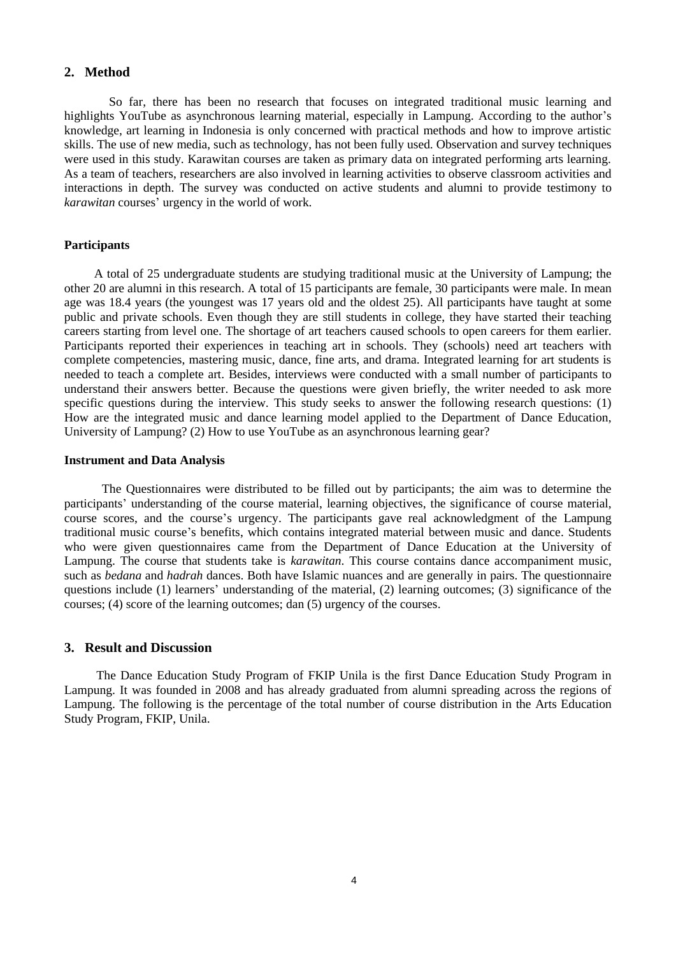## **2. Method**

 So far, there has been no research that focuses on integrated traditional music learning and highlights YouTube as asynchronous learning material, especially in Lampung. According to the author's knowledge, art learning in Indonesia is only concerned with practical methods and how to improve artistic skills. The use of new media, such as technology, has not been fully used. Observation and survey techniques were used in this study. Karawitan courses are taken as primary data on integrated performing arts learning. As a team of teachers, researchers are also involved in learning activities to observe classroom activities and interactions in depth. The survey was conducted on active students and alumni to provide testimony to *karawitan* courses' urgency in the world of work.

### **Participants**

 A total of 25 undergraduate students are studying traditional music at the University of Lampung; the other 20 are alumni in this research. A total of 15 participants are female, 30 participants were male. In mean age was 18.4 years (the youngest was 17 years old and the oldest 25). All participants have taught at some public and private schools. Even though they are still students in college, they have started their teaching careers starting from level one. The shortage of art teachers caused schools to open careers for them earlier. Participants reported their experiences in teaching art in schools. They (schools) need art teachers with complete competencies, mastering music, dance, fine arts, and drama. Integrated learning for art students is needed to teach a complete art. Besides, interviews were conducted with a small number of participants to understand their answers better. Because the questions were given briefly, the writer needed to ask more specific questions during the interview. This study seeks to answer the following research questions: (1) How are the integrated music and dance learning model applied to the Department of Dance Education, University of Lampung? (2) How to use YouTube as an asynchronous learning gear?

#### **Instrument and Data Analysis**

 The Questionnaires were distributed to be filled out by participants; the aim was to determine the participants' understanding of the course material, learning objectives, the significance of course material, course scores, and the course's urgency. The participants gave real acknowledgment of the Lampung traditional music course's benefits, which contains integrated material between music and dance. Students who were given questionnaires came from the Department of Dance Education at the University of Lampung. The course that students take is *karawitan*. This course contains dance accompaniment music, such as *bedana* and *hadrah* dances. Both have Islamic nuances and are generally in pairs. The questionnaire questions include (1) learners' understanding of the material, (2) learning outcomes; (3) significance of the courses; (4) score of the learning outcomes; dan (5) urgency of the courses.

## **3. Result and Discussion**

The Dance Education Study Program of FKIP Unila is the first Dance Education Study Program in Lampung. It was founded in 2008 and has already graduated from alumni spreading across the regions of Lampung. The following is the percentage of the total number of course distribution in the Arts Education Study Program, FKIP, Unila.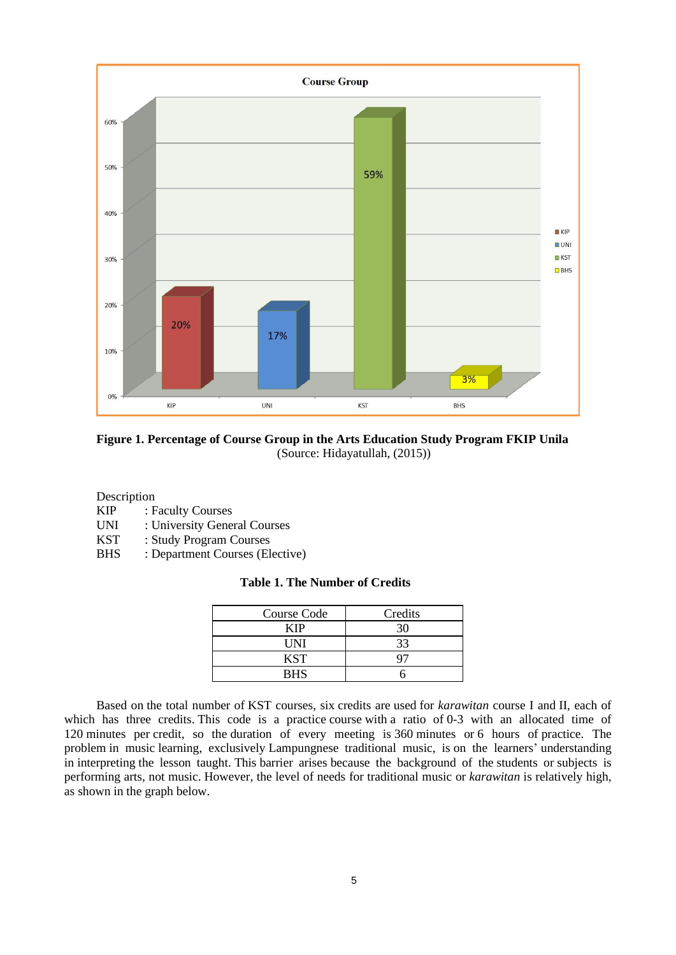

**Figure 1. Percentage of Course Group in the Arts Education Study Program FKIP Unila** (Source: Hidayatullah, (2015))

Description

- KIP : Faculty Courses
- UNI : University General Courses
- KST : Study Program Courses
- BHS : Department Courses (Elective)

## **Table 1. The Number of Credits**

| Course Code | Credits |
|-------------|---------|
| KIP         | 30      |
| UNI         | 33      |
| KST         |         |
| <b>RHS</b>  |         |

Based on the total number of KST courses, six credits are used for *karawitan* course I and II, each of which has three credits. This code is a practice course with a ratio of 0-3 with an allocated time of 120 minutes per credit, so the duration of every meeting is 360 minutes or 6 hours of practice. The problem in music learning, exclusively Lampungnese traditional music, is on the learners' understanding in interpreting the lesson taught. This barrier arises because the background of the students or subjects is performing arts, not music. However, the level of needs for traditional music or *karawitan* is relatively high, as shown in the graph below.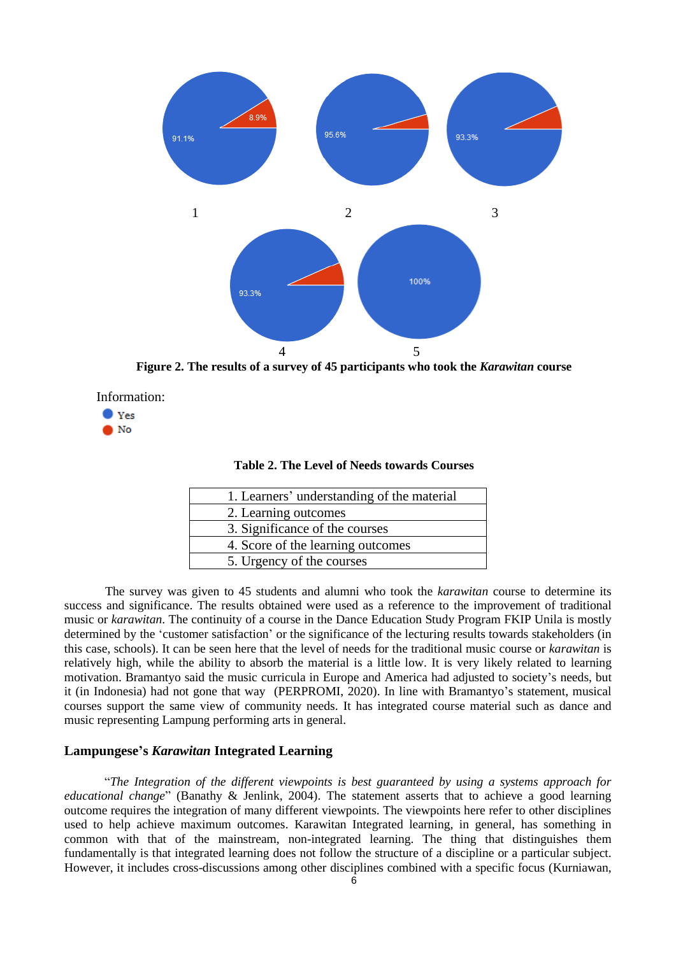

**Figure 2. The results of a survey of 45 participants who took the** *Karawitan* **course**





| <b>Table 2. The Level of Needs towards Courses</b> |  |
|----------------------------------------------------|--|
|----------------------------------------------------|--|

| 1. Learners' understanding of the material |
|--------------------------------------------|
| 2. Learning outcomes                       |
| 3. Significance of the courses             |
| 4. Score of the learning outcomes          |
| 5. Urgency of the courses                  |

The survey was given to 45 students and alumni who took the *karawitan* course to determine its success and significance. The results obtained were used as a reference to the improvement of traditional music or *karawitan*. The continuity of a course in the Dance Education Study Program FKIP Unila is mostly determined by the 'customer satisfaction' or the significance of the lecturing results towards stakeholders (in this case, schools). It can be seen here that the level of needs for the traditional music course or *karawitan* is relatively high, while the ability to absorb the material is a little low. It is very likely related to learning motivation. Bramantyo said the music curricula in Europe and America had adjusted to society's needs, but it (in Indonesia) had not gone that way (PERPROMI, 2020). In line with Bramantyo's statement, musical courses support the same view of community needs. It has integrated course material such as dance and music representing Lampung performing arts in general.

## **Lampungese's** *Karawitan* **Integrated Learning**

"*The Integration of the different viewpoints is best guaranteed by using a systems approach for educational change*" (Banathy & Jenlink, 2004). The statement asserts that to achieve a good learning outcome requires the integration of many different viewpoints. The viewpoints here refer to other disciplines used to help achieve maximum outcomes. Karawitan Integrated learning, in general, has something in common with that of the mainstream, non-integrated learning. The thing that distinguishes them fundamentally is that integrated learning does not follow the structure of a discipline or a particular subject. However, it includes cross-discussions among other disciplines combined with a specific focus (Kurniawan,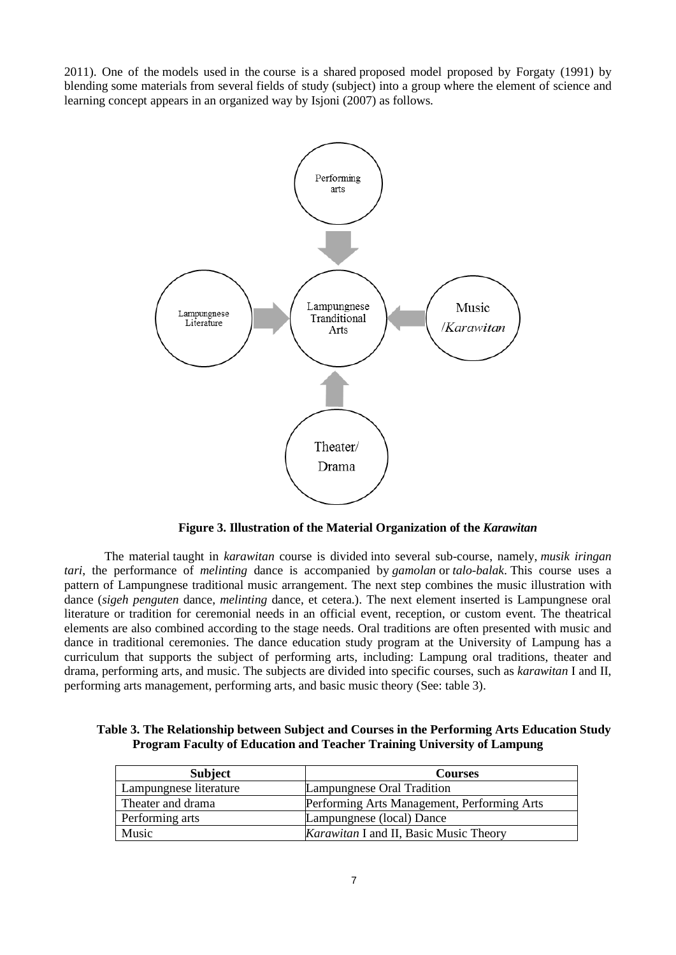2011). One of the models used in the course is a shared proposed model proposed by Forgaty (1991) by blending some materials from several fields of study (subject) into a group where the element of science and learning concept appears in an organized way by Isjoni (2007) as follows.



**Figure 3. Illustration of the Material Organization of the** *Karawitan*

The material taught in *karawitan* course is divided into several sub-course, namely, *musik iringan tari*, the performance of *melinting* dance is accompanied by *gamolan* or *talo-balak*. This course uses a pattern of Lampungnese traditional music arrangement. The next step combines the music illustration with dance (*sigeh penguten* dance, *melinting* dance, et cetera.). The next element inserted is Lampungnese oral literature or tradition for ceremonial needs in an official event, reception, or custom event. The theatrical elements are also combined according to the stage needs. Oral traditions are often presented with music and dance in traditional ceremonies. The dance education study program at the University of Lampung has a curriculum that supports the subject of performing arts, including: Lampung oral traditions, theater and drama, performing arts, and music. The subjects are divided into specific courses, such as *karawitan* I and II, performing arts management, performing arts, and basic music theory (See: table 3).

| Table 3. The Relationship between Subject and Courses in the Performing Arts Education Study |
|----------------------------------------------------------------------------------------------|
| <b>Program Faculty of Education and Teacher Training University of Lampung</b>               |

| <b>Subject</b>         | <b>Courses</b>                                |
|------------------------|-----------------------------------------------|
| Lampungnese literature | Lampungnese Oral Tradition                    |
| Theater and drama      | Performing Arts Management, Performing Arts   |
| Performing arts        | Lampungnese (local) Dance                     |
| Music                  | <i>Karawitan</i> I and II, Basic Music Theory |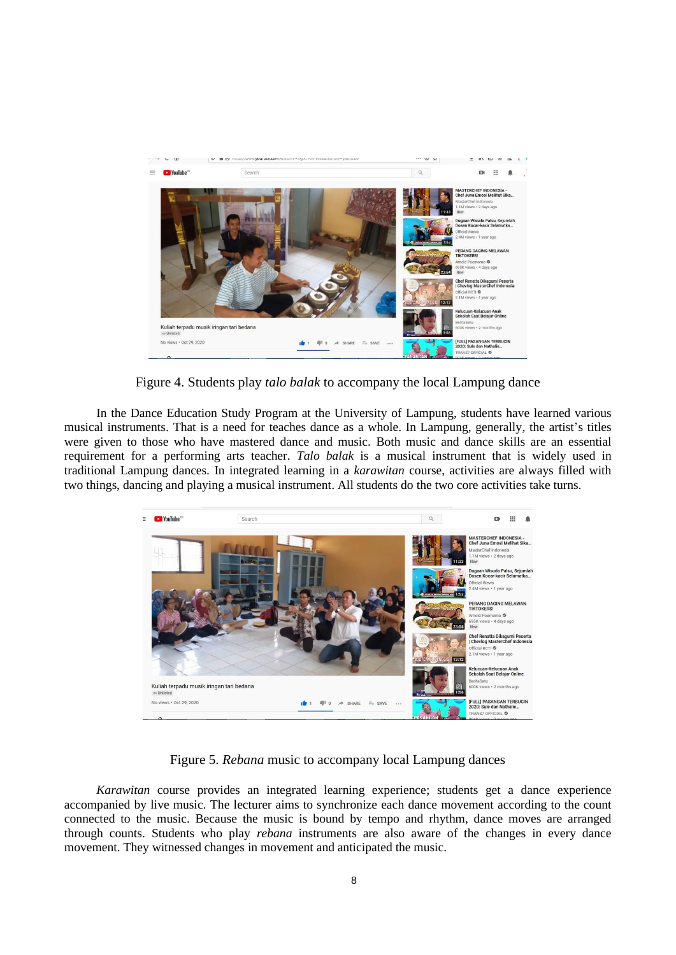

Figure 4. Students play *talo balak* to accompany the local Lampung dance

In the Dance Education Study Program at the University of Lampung, students have learned various musical instruments. That is a need for teaches dance as a whole. In Lampung, generally, the artist's titles were given to those who have mastered dance and music. Both music and dance skills are an essential requirement for a performing arts teacher. *Talo balak* is a musical instrument that is widely used in traditional Lampung dances. In integrated learning in a *karawitan* course, activities are always filled with two things, dancing and playing a musical instrument. All students do the two core activities take turns.



Figure 5. *Rebana* music to accompany local Lampung dances

*Karawitan* course provides an integrated learning experience; students get a dance experience accompanied by live music. The lecturer aims to synchronize each dance movement according to the count connected to the music. Because the music is bound by tempo and rhythm, dance moves are arranged through counts. Students who play *rebana* instruments are also aware of the changes in every dance movement. They witnessed changes in movement and anticipated the music.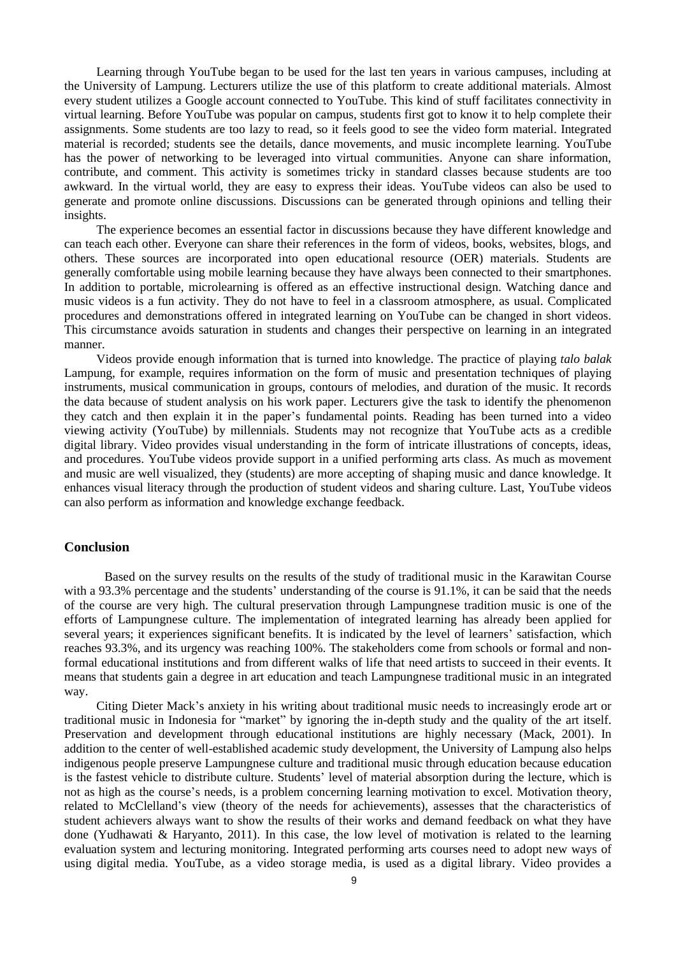Learning through YouTube began to be used for the last ten years in various campuses, including at the University of Lampung. Lecturers utilize the use of this platform to create additional materials. Almost every student utilizes a Google account connected to YouTube. This kind of stuff facilitates connectivity in virtual learning. Before YouTube was popular on campus, students first got to know it to help complete their assignments. Some students are too lazy to read, so it feels good to see the video form material. Integrated material is recorded; students see the details, dance movements, and music incomplete learning. YouTube has the power of networking to be leveraged into virtual communities. Anyone can share information, contribute, and comment. This activity is sometimes tricky in standard classes because students are too awkward. In the virtual world, they are easy to express their ideas. YouTube videos can also be used to generate and promote online discussions. Discussions can be generated through opinions and telling their insights.

The experience becomes an essential factor in discussions because they have different knowledge and can teach each other. Everyone can share their references in the form of videos, books, websites, blogs, and others. These sources are incorporated into open educational resource (OER) materials. Students are generally comfortable using mobile learning because they have always been connected to their smartphones. In addition to portable, microlearning is offered as an effective instructional design. Watching dance and music videos is a fun activity. They do not have to feel in a classroom atmosphere, as usual. Complicated procedures and demonstrations offered in integrated learning on YouTube can be changed in short videos. This circumstance avoids saturation in students and changes their perspective on learning in an integrated manner.

Videos provide enough information that is turned into knowledge. The practice of playing *talo balak* Lampung, for example, requires information on the form of music and presentation techniques of playing instruments, musical communication in groups, contours of melodies, and duration of the music. It records the data because of student analysis on his work paper. Lecturers give the task to identify the phenomenon they catch and then explain it in the paper's fundamental points. Reading has been turned into a video viewing activity (YouTube) by millennials. Students may not recognize that YouTube acts as a credible digital library. Video provides visual understanding in the form of intricate illustrations of concepts, ideas, and procedures. YouTube videos provide support in a unified performing arts class. As much as movement and music are well visualized, they (students) are more accepting of shaping music and dance knowledge. It enhances visual literacy through the production of student videos and sharing culture. Last, YouTube videos can also perform as information and knowledge exchange feedback.

### **Conclusion**

Based on the survey results on the results of the study of traditional music in the Karawitan Course with a 93.3% percentage and the students' understanding of the course is 91.1%, it can be said that the needs of the course are very high. The cultural preservation through Lampungnese tradition music is one of the efforts of Lampungnese culture. The implementation of integrated learning has already been applied for several years; it experiences significant benefits. It is indicated by the level of learners' satisfaction, which reaches 93.3%, and its urgency was reaching 100%. The stakeholders come from schools or formal and nonformal educational institutions and from different walks of life that need artists to succeed in their events. It means that students gain a degree in art education and teach Lampungnese traditional music in an integrated way.

Citing Dieter Mack's anxiety in his writing about traditional music needs to increasingly erode art or traditional music in Indonesia for "market" by ignoring the in-depth study and the quality of the art itself. Preservation and development through educational institutions are highly necessary (Mack, 2001). In addition to the center of well-established academic study development, the University of Lampung also helps indigenous people preserve Lampungnese culture and traditional music through education because education is the fastest vehicle to distribute culture. Students' level of material absorption during the lecture, which is not as high as the course's needs, is a problem concerning learning motivation to excel. Motivation theory, related to McClelland's view (theory of the needs for achievements), assesses that the characteristics of student achievers always want to show the results of their works and demand feedback on what they have done (Yudhawati & Haryanto, 2011). In this case, the low level of motivation is related to the learning evaluation system and lecturing monitoring. Integrated performing arts courses need to adopt new ways of using digital media. YouTube, as a video storage media, is used as a digital library. Video provides a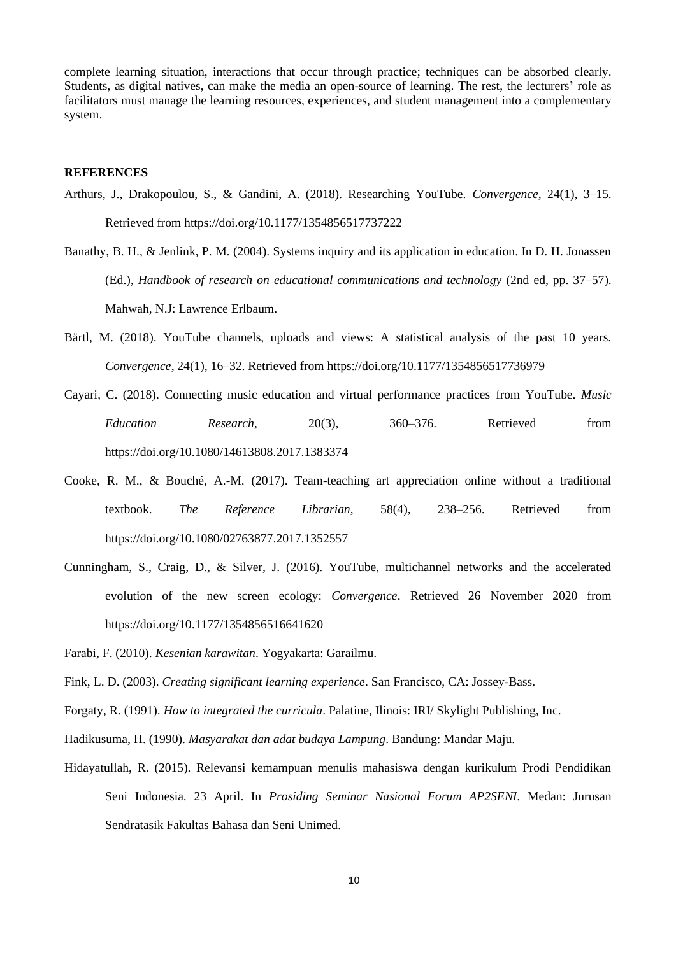complete learning situation, interactions that occur through practice; techniques can be absorbed clearly. Students, as digital natives, can make the media an open-source of learning. The rest, the lecturers' role as facilitators must manage the learning resources, experiences, and student management into a complementary system.

## **REFERENCES**

- Arthurs, J., Drakopoulou, S., & Gandini, A. (2018). Researching YouTube. *Convergence*, 24(1), 3–15. Retrieved from https://doi.org/10.1177/1354856517737222
- Banathy, B. H., & Jenlink, P. M. (2004). Systems inquiry and its application in education. In D. H. Jonassen (Ed.), *Handbook of research on educational communications and technology* (2nd ed, pp. 37–57). Mahwah, N.J: Lawrence Erlbaum.
- Bärtl, M. (2018). YouTube channels, uploads and views: A statistical analysis of the past 10 years. *Convergence*, 24(1), 16–32. Retrieved from https://doi.org/10.1177/1354856517736979
- Cayari, C. (2018). Connecting music education and virtual performance practices from YouTube. *Music Education Research*, 20(3), 360–376. Retrieved from https://doi.org/10.1080/14613808.2017.1383374
- Cooke, R. M., & Bouché, A.-M. (2017). Team-teaching art appreciation online without a traditional textbook. *The Reference Librarian*, 58(4), 238–256. Retrieved from https://doi.org/10.1080/02763877.2017.1352557
- Cunningham, S., Craig, D., & Silver, J. (2016). YouTube, multichannel networks and the accelerated evolution of the new screen ecology: *Convergence*. Retrieved 26 November 2020 from https://doi.org/10.1177/1354856516641620
- Farabi, F. (2010). *Kesenian karawitan*. Yogyakarta: Garailmu.

- Forgaty, R. (1991). *How to integrated the curricula*. Palatine, Ilinois: IRI/ Skylight Publishing, Inc.
- Hadikusuma, H. (1990). *Masyarakat dan adat budaya Lampung*. Bandung: Mandar Maju.
- Hidayatullah, R. (2015). Relevansi kemampuan menulis mahasiswa dengan kurikulum Prodi Pendidikan Seni Indonesia. 23 April. In *Prosiding Seminar Nasional Forum AP2SENI*. Medan: Jurusan Sendratasik Fakultas Bahasa dan Seni Unimed.

Fink, L. D. (2003). *Creating significant learning experience*. San Francisco, CA: Jossey-Bass.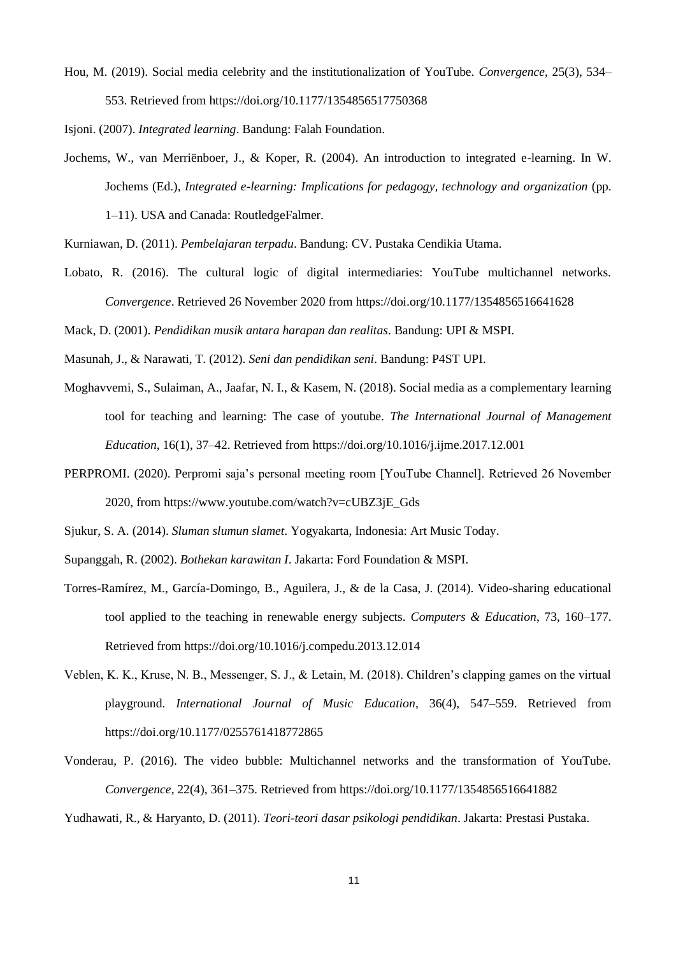Hou, M. (2019). Social media celebrity and the institutionalization of YouTube. *Convergence*, 25(3), 534– 553. Retrieved from https://doi.org/10.1177/1354856517750368

Isjoni. (2007). *Integrated learning*. Bandung: Falah Foundation.

Jochems, W., van Merriënboer, J., & Koper, R. (2004). An introduction to integrated e-learning. In W. Jochems (Ed.), *Integrated e-learning: Implications for pedagogy, technology and organization* (pp.

1–11). USA and Canada: RoutledgeFalmer.

Kurniawan, D. (2011). *Pembelajaran terpadu*. Bandung: CV. Pustaka Cendikia Utama.

Lobato, R. (2016). The cultural logic of digital intermediaries: YouTube multichannel networks. *Convergence*. Retrieved 26 November 2020 from https://doi.org/10.1177/1354856516641628

Mack, D. (2001). *Pendidikan musik antara harapan dan realitas*. Bandung: UPI & MSPI.

Masunah, J., & Narawati, T. (2012). *Seni dan pendidikan seni*. Bandung: P4ST UPI.

- Moghavvemi, S., Sulaiman, A., Jaafar, N. I., & Kasem, N. (2018). Social media as a complementary learning tool for teaching and learning: The case of youtube. *The International Journal of Management Education*, 16(1), 37–42. Retrieved from https://doi.org/10.1016/j.ijme.2017.12.001
- PERPROMI. (2020). Perpromi saja's personal meeting room [YouTube Channel]. Retrieved 26 November 2020, from https://www.youtube.com/watch?v=cUBZ3jE\_Gds

Sjukur, S. A. (2014). *Sluman slumun slamet*. Yogyakarta, Indonesia: Art Music Today.

Supanggah, R. (2002). *Bothekan karawitan I*. Jakarta: Ford Foundation & MSPI.

- Torres-Ramírez, M., García-Domingo, B., Aguilera, J., & de la Casa, J. (2014). Video-sharing educational tool applied to the teaching in renewable energy subjects. *Computers & Education*, 73, 160–177. Retrieved from https://doi.org/10.1016/j.compedu.2013.12.014
- Veblen, K. K., Kruse, N. B., Messenger, S. J., & Letain, M. (2018). Children's clapping games on the virtual playground. *International Journal of Music Education*, 36(4), 547–559. Retrieved from https://doi.org/10.1177/0255761418772865
- Vonderau, P. (2016). The video bubble: Multichannel networks and the transformation of YouTube. *Convergence*, 22(4), 361–375. Retrieved from https://doi.org/10.1177/1354856516641882

Yudhawati, R., & Haryanto, D. (2011). *Teori-teori dasar psikologi pendidikan*. Jakarta: Prestasi Pustaka.